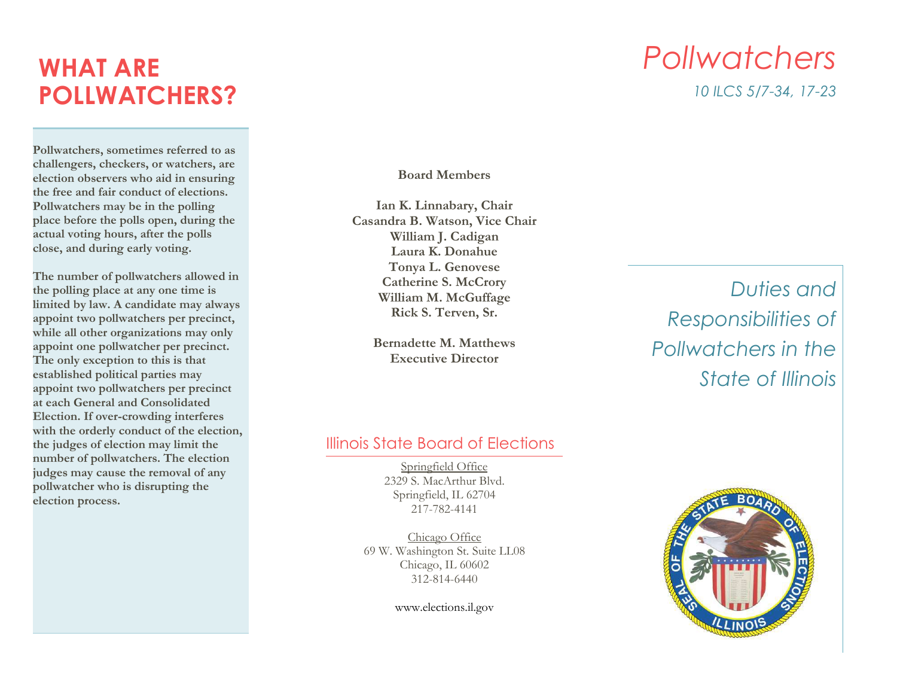# **WHAT ARE POLLWATCHERS?**

**Pollwatchers, sometimes referred to as challengers, checkers, or watchers, are election observers who aid in ensuring the free and fair conduct of elections. Pollwatchers may be in the polling place before the polls open, during the actual voting hours, after the polls close, and during early voting.**

**The number of pollwatchers allowed in the polling place at any one time is limited by law. A candidate may always appoint two pollwatchers per precinct, while all other organizations may only appoint one pollwatcher per precinct. The only exception to this is that established political parties may appoint two pollwatchers per precinct at each General and Consolidated Election. If over-crowding interferes with the orderly conduct of the election, the judges of election may limit the number of pollwatchers. The election judges may cause the removal of any pollwatcher who is disrupting the election process.**

#### **Board Members**

**Ian K. Linnabary, Chair Casandra B. Watson, Vice Chair William J. Cadigan Laura K. Donahue Tonya L. Genovese Catherine S. McCrory William M. McGuffage Rick S. Terven, Sr.** 

> **Bernadette M. Matthews Executive Director**

## *Duties and Responsibilities of Pollwatchers in the State of Illinois*

#### Illinois State Board of Elections

Springfield Office 2329 S. MacArthur Blvd. Springfield, IL 62704 217-782-4141

Chicago Office 69 W. Washington St. Suite LL08 Chicago, IL 60602 312-814-6440

www.elections.il.gov



## *Pollwatchers 10 ILCS 5/7-34, 17-23*